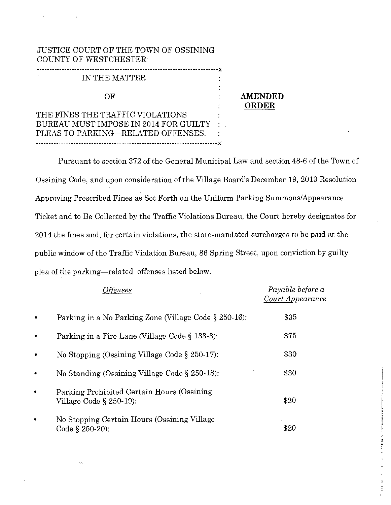## JUSTICE COURT OF THE TOWN OF OSSINING COUNTY OF WESTCHESTER

| IN THE MATTER                    |  |
|----------------------------------|--|
| ΩF                               |  |
| THE FINES THE TRAFFIC VIOLATIONS |  |

BUREAU MUST IMPOSE IN 2014 FOR GUILTY

**AMENDED ORDER** 

PLEAS TO PARKING-RELATED OFFENSES. ------------------------------------------------------------------------]{ Pursuant to section 372 of the General Municipal Law and section 48-6 of the Town of Ossining Code, and upon consideration of the Village Board's December 19, 2013 Resolution Approving Prescribed Fines as Set Forth on the Uniform Parking Summons/Appearance Ticket and to Be Collected by the Traffic Violations Bureau, the Court hereby designates for

2014 the fines and, for certain violations, the state-mandated surcharges to be paid at the public window of the Traffic Violation Bureau, 86 Spring Street, upon conviction by guilty

plea of the parking-related offenses listed below.

LM.

| <i><b>Offenses</b></i>                                                   | Payable before a<br>Court Appearance |
|--------------------------------------------------------------------------|--------------------------------------|
| Parking in a No Parking Zone (Village Code § 250-16):                    | \$35                                 |
| Parking in a Fire Lane (Village Code § 133-3):                           | \$75                                 |
| No Stopping (Ossining Village Code $\S 250-17$ ):                        | \$30                                 |
| No Standing (Ossining Village Code $\S 250-18$ ):                        | \$30                                 |
| Parking Prohibited Certain Hours (Ossining<br>Village Code $\S$ 250-19): | \$20                                 |
| No Stopping Certain Hours (Ossining Village<br>Code § 250-20):           | \$20                                 |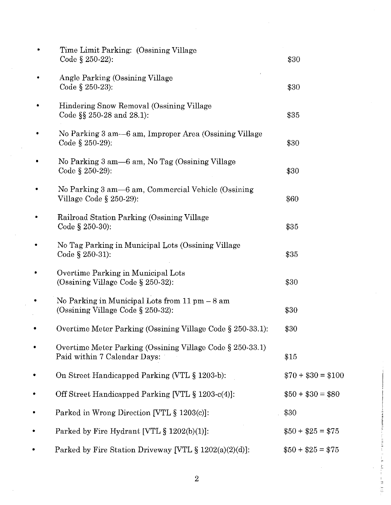|   | Time Limit Parking: (Ossining Village)<br>Code $\S$ 250-22):                              | \$30               |
|---|-------------------------------------------------------------------------------------------|--------------------|
|   | Angle Parking (Ossining Village<br>Code $\S 250-23$ :                                     | \$30               |
|   | Hindering Snow Removal (Ossining Village<br>Code $\S$ 250-28 and 28.1):                   | \$35               |
|   | No Parking 3 am—6 am, Improper Area (Ossining Village<br>Code $\S 250-29$ :               | \$30               |
|   | No Parking 3 am -6 am, No Tag (Ossining Village<br>Code § $250-29$ :                      | \$30               |
|   | No Parking 3 am—6 am, Commercial Vehicle (Ossining<br>Village Code § 250-29):             | \$60               |
|   | Railroad Station Parking (Ossining Village<br>Code § 250-30):                             | \$35               |
|   | No Tag Parking in Municipal Lots (Ossining Village<br>Code § 250-31):                     | \$35               |
|   | Overtime Parking in Municipal Lots<br>(Ossining Village Code $\S$ 250-32):                | \$30               |
|   | No Parking in Municipal Lots from 11 pm - 8 am<br>(Ossining Village Code § 250-32):       | \$30               |
|   | Overtime Meter Parking (Ossining Village Code § 250-33.1):                                | \$30               |
|   | Overtime Meter Parking (Ossining Village Code § 250-33.1)<br>Paid within 7 Calendar Days: | \$15               |
| ٠ | On Street Handicapped Parking (VTL § 1203-b):                                             | $$70 + $30 = $100$ |
| ٠ | Off Street Handicapped Parking [VTL § 1203-c(4)]:                                         | $$50 + $30 = $80$  |
| ٠ | Parked in Wrong Direction [VTL § 1203(c)]:                                                | \$30               |
| ٠ | Parked by Fire Hydrant [VTL § 1202(b)(1)]:                                                | $$50 + $25 = $75$  |
| ۰ | Parked by Fire Station Driveway [VTL $\S 1202(a)(2)(d)$ ]:                                | $$50 + $25 = $75$  |

2

in Ti

ti r m